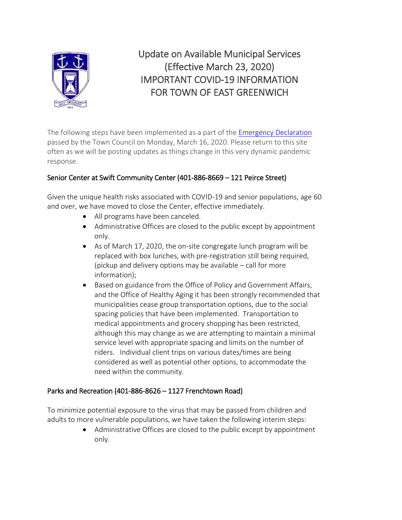

Update on Available Municipal Services (Effective March 23, 2020) IMPORTANT COVID-19 INFORMATION FOR TOWN OF EAST GREENWICH

The following steps have been implemented as a part of the [Emergency Declaration](http://www.eastgreenwichri.com/DocumentCenter/View/3342/2020-Declaration-of-State-of-Emergency-March-16-2017) passed by the Town Council on Monday, March 16, 2020. Please return to this site often as we will be posting updates as things change in this very dynamic pandemic response.

# Senior Center at Swift Community Center (401-886-8669 – 121 Peirce Street)

Given the unique health risks associated with COVID-19 and senior populations, age 60 and over, we have moved to close the Center, effective immediately.

- All programs have been canceled.
- Administrative Offices are closed to the public except by appointment only.
- As of March 17, 2020, the on-site congregate lunch program will be replaced with box lunches, with pre-registration still being required, (pickup and delivery options may be available – call for more information);
- Based on guidance from the Office of Policy and Government Affairs, and the Office of Healthy Aging it has been strongly recommended that municipalities cease group transportation options, due to the social spacing policies that have been implemented. Transportation to medical appointments and grocery shopping has been restricted, although this may change as we are attempting to maintain a minimal service level with appropriate spacing and limits on the number of riders. Individual client trips on various dates/times are being considered as well as potential other options, to accommodate the need within the community.

### Parks and Recreation (401-886-8626 – 1127 Frenchtown Road)

To minimize potential exposure to the virus that may be passed from children and adults to more vulnerable populations, we have taken the following interim steps:

> • Administrative Offices are closed to the public except by appointment only.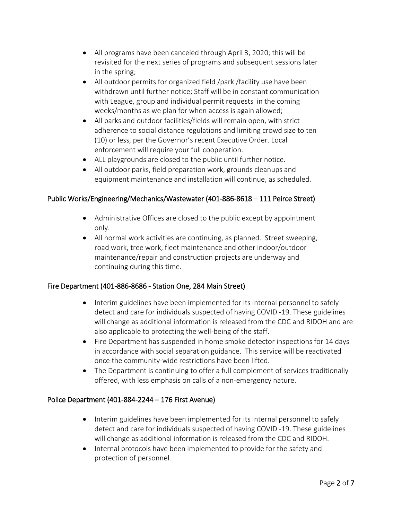- All programs have been canceled through April 3, 2020; this will be revisited for the next series of programs and subsequent sessions later in the spring;
- All outdoor permits for organized field /park /facility use have been withdrawn until further notice; Staff will be in constant communication with League, group and individual permit requests in the coming weeks/months as we plan for when access is again allowed;
- All parks and outdoor facilities/fields will remain open, with strict adherence to social distance regulations and limiting crowd size to ten (10) or less, per the Governor's recent Executive Order. Local enforcement will require your full cooperation.
- ALL playgrounds are closed to the public until further notice.
- All outdoor parks, field preparation work, grounds cleanups and equipment maintenance and installation will continue, as scheduled.

### Public Works/Engineering/Mechanics/Wastewater (401-886-8618 – 111 Peirce Street)

- Administrative Offices are closed to the public except by appointment only.
- All normal work activities are continuing, as planned. Street sweeping, road work, tree work, fleet maintenance and other indoor/outdoor maintenance/repair and construction projects are underway and continuing during this time.

### Fire Department (401-886-8686 - Station One, 284 Main Street)

- Interim guidelines have been implemented for its internal personnel to safely detect and care for individuals suspected of having COVID -19. These guidelines will change as additional information is released from the CDC and RIDOH and are also applicable to protecting the well-being of the staff.
- Fire Department has suspended in home smoke detector inspections for 14 days in accordance with social separation guidance. This service will be reactivated once the community-wide restrictions have been lifted.
- The Department is continuing to offer a full complement of services traditionally offered, with less emphasis on calls of a non-emergency nature.

# Police Department (401-884-2244 – 176 First Avenue)

- Interim guidelines have been implemented for its internal personnel to safely detect and care for individuals suspected of having COVID -19. These guidelines will change as additional information is released from the CDC and RIDOH.
- Internal protocols have been implemented to provide for the safety and protection of personnel.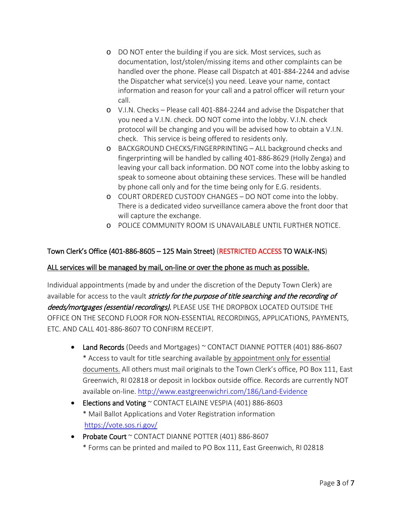- o DO NOT enter the building if you are sick. Most services, such as documentation, lost/stolen/missing items and other complaints can be handled over the phone. Please call Dispatch at 401-884-2244 and advise the Dispatcher what service(s) you need. Leave your name, contact information and reason for your call and a patrol officer will return your call.
- o V.I.N. Checks Please call 401-884-2244 and advise the Dispatcher that you need a V.I.N. check. DO NOT come into the lobby. V.I.N. check protocol will be changing and you will be advised how to obtain a V.I.N. check. This service is being offered to residents only.
- o BACKGROUND CHECKS/FINGERPRINTING ALL background checks and fingerprinting will be handled by calling 401-886-8629 (Holly Zenga) and leaving your call back information. DO NOT come into the lobby asking to speak to someone about obtaining these services. These will be handled by phone call only and for the time being only for E.G. residents.
- o COURT ORDERED CUSTODY CHANGES DO NOT come into the lobby. There is a dedicated video surveillance camera above the front door that will capture the exchange.
- o POLICE COMMUNITY ROOM IS UNAVAILABLE UNTIL FURTHER NOTICE.

# Town Clerk's Office (401-886-8605 – 125 Main Street) (RESTRICTED ACCESS TO WALK-INS)

### ALL services will be managed by mail, on-line or over the phone as much as possible.

Individual appointments (made by and under the discretion of the Deputy Town Clerk) are available for access to the vault *strictly for the purpose of title searching and the recording of* deeds/mortgages (essential recordings). PLEASE USE THE DROPBOX LOCATED OUTSIDE THE OFFICE ON THE SECOND FLOOR FOR NON-ESSENTIAL RECORDINGS, APPLICATIONS, PAYMENTS, ETC. AND CALL 401-886-8607 TO CONFIRM RECEIPT.

- Land Records (Deeds and Mortgages) ~ CONTACT DIANNE POTTER (401) 886-8607 \* Access to vault for title searching available by appointment only for essential documents. All others must mail originals to the Town Clerk's office, PO Box 111, East Greenwich, RI 02818 or deposit in lockbox outside office. Records are currently NOT available on-line.<http://www.eastgreenwichri.com/186/Land-Evidence>
- Elections and Voting ~ CONTACT ELAINE VESPIA (401) 886-8603 \* Mail Ballot Applications and Voter Registration information <https://vote.sos.ri.gov/>
- Probate Court ~ CONTACT DIANNE POTTER (401) 886-8607 \* Forms can be printed and mailed to PO Box 111, East Greenwich, RI 02818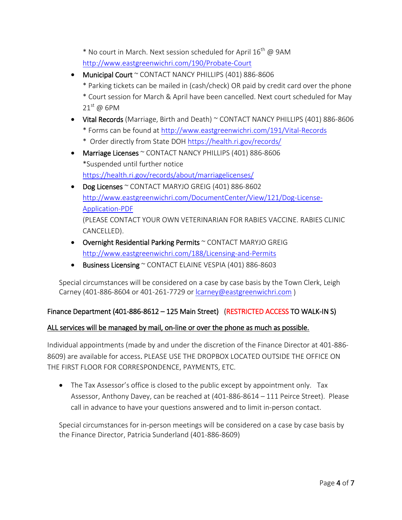$*$  No court in March. Next session scheduled for April 16<sup>th</sup> @ 9AM <http://www.eastgreenwichri.com/190/Probate-Court>

- Municipal Court ~ CONTACT NANCY PHILLIPS (401) 886-8606
	- \* Parking tickets can be mailed in (cash/check) OR paid by credit card over the phone
	- \* Court session for March & April have been cancelled. Next court scheduled for May  $21^{\text{st}}$  @ 6PM
- Vital Records (Marriage, Birth and Death) ~ CONTACT NANCY PHILLIPS (401) 886-8606 \* Forms can be found at<http://www.eastgreenwichri.com/191/Vital-Records>
	- \* Order directly from State DOH<https://health.ri.gov/records/>
- Marriage Licenses ~ CONTACT NANCY PHILLIPS (401) 886-8606 \*Suspended until further notice <https://health.ri.gov/records/about/marriagelicenses/>
- Dog Licenses ~ CONTACT MARYJO GREIG (401) 886-8602 [http://www.eastgreenwichri.com/DocumentCenter/View/121/Dog-License-](http://www.eastgreenwichri.com/DocumentCenter/View/121/Dog-License-Application-PDF)[Application-PDF](http://www.eastgreenwichri.com/DocumentCenter/View/121/Dog-License-Application-PDF) (PLEASE CONTACT YOUR OWN VETERINARIAN FOR RABIES VACCINE. RABIES CLINIC CANCELLED).
- Overnight Residential Parking Permits ~ CONTACT MARYJO GREIG <http://www.eastgreenwichri.com/188/Licensing-and-Permits>
- Business Licensing ~ CONTACT ELAINE VESPIA (401) 886-8603

Special circumstances will be considered on a case by case basis by the Town Clerk, Leigh Carney (401-886-8604 or 401-261-7729 or [lcarney@eastgreenwichri.com](mailto:lcarney@eastgreenwichri.com) )

# Finance Department (401-886-8612 – 125 Main Street) (RESTRICTED ACCESS TO WALK-IN S)

### ALL services will be managed by mail, on-line or over the phone as much as possible.

Individual appointments (made by and under the discretion of the Finance Director at 401-886- 8609) are available for access. PLEASE USE THE DROPBOX LOCATED OUTSIDE THE OFFICE ON THE FIRST FLOOR FOR CORRESPONDENCE, PAYMENTS, ETC.

• The Tax Assessor's office is closed to the public except by appointment only. Tax Assessor, Anthony Davey, can be reached at (401-886-8614 – 111 Peirce Street). Please call in advance to have your questions answered and to limit in-person contact.

Special circumstances for in-person meetings will be considered on a case by case basis by the Finance Director, Patricia Sunderland (401-886-8609)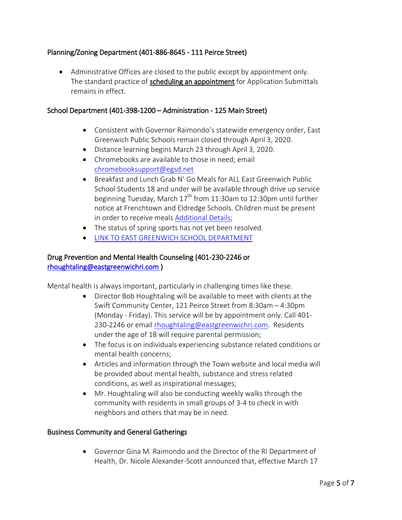### Planning/Zoning Department (401-886-8645 - 111 Peirce Street)

• Administrative Offices are closed to the public except by appointment only. The standard practice of scheduling an appointment for Application Submittals remains in effect.

#### School Department (401-398-1200 – Administration - 125 Main Street)

- Consistent with Governor Raimondo's statewide emergency order, East Greenwich Public Schools remain closed through April 3, 2020.
- Distance learning begins March 23 through April 3, 2020.
- Chromebooks are available to those in need; email [chromebooksupport@egsd.net](mailto:chromebooksupport@egsd.net)
- Breakfast and Lunch Grab N' Go Meals for ALL East Greenwich Public School Students 18 and under will be available through drive up service beginning Tuesday, March  $17<sup>th</sup>$  from 11:30am to 12:30pm until further notice at Frenchtown and Eldredge Schools. Children must be present in order to receive meals [Additional Details;](https://drive.google.com/file/d/1kE0qSo3yv1YQYxzr_u975Dxm_OnhwqQ9/view)
- The status of spring sports has not yet been resolved.
- [LINK TO EAST GREENWICH SCHOOL DEPARTMENT](https://www.egsd.net/home)

#### Drug Prevention and Mental Health Counseling (401-230-2246 or [rhoughtaling@eastgreenwichri.com](mailto:rhoughtaling@eastgreenwichri.com) )

Mental health is always important, particularly in challenging times like these.

- Director Bob Houghtaling will be available to meet with clients at the Swift Community Center, 121 Peirce Street from 8:30am – 4:30pm (Monday - Friday). This service will be by appointment only. Call 401- 230-2246 or email [rhoughtaling@eastgreenwichri.com.](mailto:rhoughtaling@eastgreenwichri.com) Residents under the age of 18 will require parental permission;
- The focus is on individuals experiencing substance related conditions or mental health concerns;
- Articles and information through the Town website and local media will be provided about mental health, substance and stress related conditions, as well as inspirational messages;
- Mr. Houghtaling will also be conducting weekly walks through the community with residents in small groups of 3-4 to check in with neighbors and others that may be in need.

### Business Community and General Gatherings

• Governor Gina M. Raimondo and the Director of the RI Department of Health, Dr. Nicole Alexander-Scott announced that, effective March 17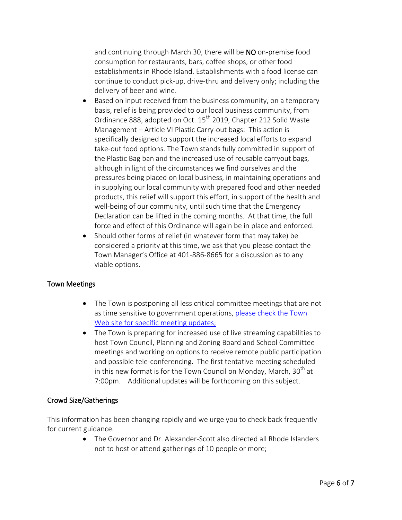and continuing through March 30, there will be NO on-premise food consumption for restaurants, bars, coffee shops, or other food establishments in Rhode Island. Establishments with a food license can continue to conduct pick-up, drive-thru and delivery only; including the delivery of beer and wine.

- Based on input received from the business community, on a temporary basis, relief is being provided to our local business community, from Ordinance 888, adopted on Oct. 15<sup>th</sup> 2019, Chapter 212 Solid Waste Management – Article VI Plastic Carry-out bags: This action is specifically designed to support the increased local efforts to expand take-out food options. The Town stands fully committed in support of the Plastic Bag ban and the increased use of reusable carryout bags, although in light of the circumstances we find ourselves and the pressures being placed on local business, in maintaining operations and in supplying our local community with prepared food and other needed products, this relief will support this effort, in support of the health and well-being of our community, until such time that the Emergency Declaration can be lifted in the coming months. At that time, the full force and effect of this Ordinance will again be in place and enforced.
- Should other forms of relief (in whatever form that may take) be considered a priority at this time, we ask that you please contact the Town Manager's Office at 401-886-8665 for a discussion as to any viable options.

### Town Meetings

- The Town is postponing all less critical committee meetings that are not as time sensitive to government operations, please check the Town [Web site for specific meeting updates;](http://www.eastgreenwichri.com/)
- The Town is preparing for increased use of live streaming capabilities to host Town Council, Planning and Zoning Board and School Committee meetings and working on options to receive remote public participation and possible tele-conferencing. The first tentative meeting scheduled in this new format is for the Town Council on Monday, March,  $30<sup>th</sup>$  at 7:00pm. Additional updates will be forthcoming on this subject.

### Crowd Size/Gatherings

This information has been changing rapidly and we urge you to check back frequently for current guidance.

> • The Governor and Dr. Alexander-Scott also directed all Rhode Islanders not to host or attend gatherings of 10 people or more;